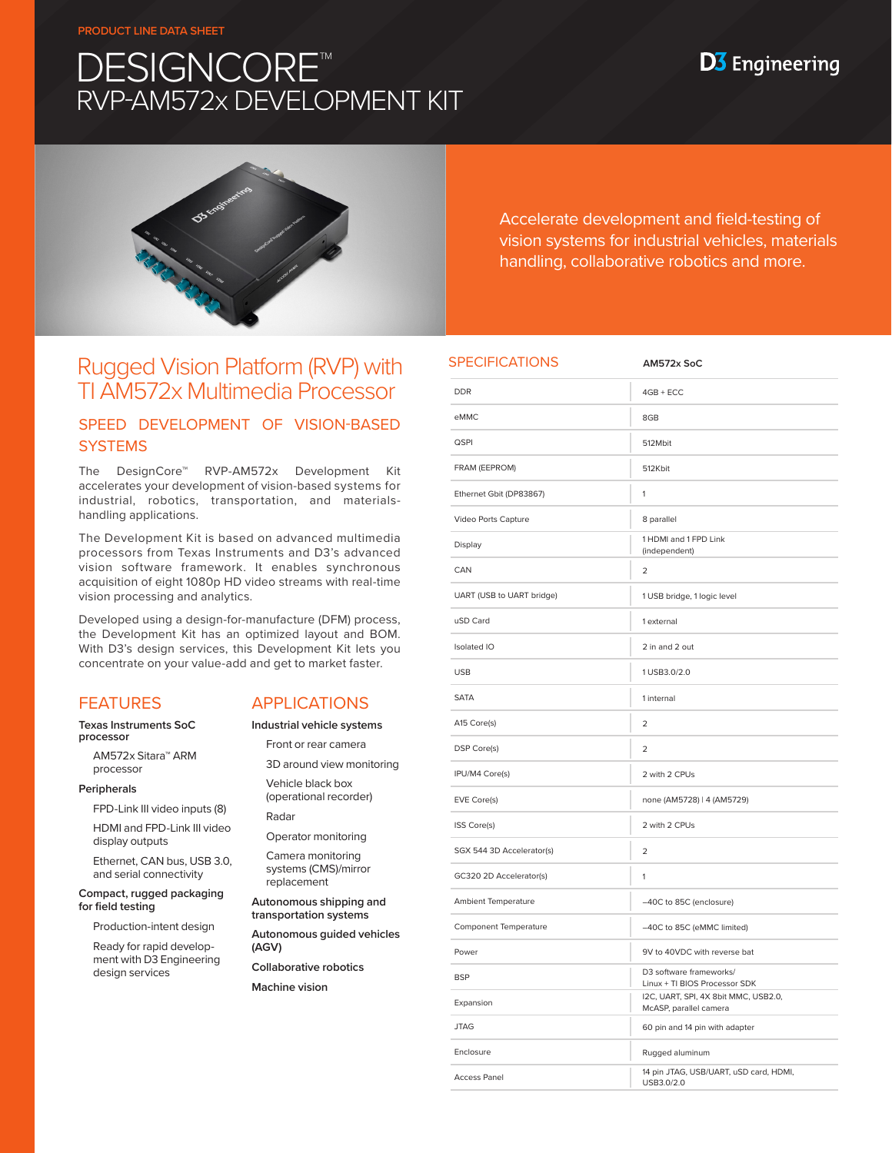#### **PRODUCT LINE DATA SHEET**

# **DESIGNCORE™** RVP-AM572x DEVELOPMENT KIT

## **D3** Engineering



Accelerate development and field-testing of vision systems for industrial vehicles, materials handling, collaborative robotics and more.

## Rugged Vision Platform (RVP) with TI AM572x Multimedia Processor

## SPEED DEVELOPMENT OF VISION-BASED **SYSTEMS**

The DesignCore™ RVP-AM572x Development Kit accelerates your development of vision-based systems for industrial, robotics, transportation, and materialshandling applications.

The Development Kit is based on advanced multimedia processors from Texas Instruments and D3's advanced vision software framework. It enables synchronous acquisition of eight 1080p HD video streams with real-time vision processing and analytics.

Developed using a design-for-manufacture (DFM) process, the Development Kit has an optimized layout and BOM. With D3's design services, this Development Kit lets you concentrate on your value-add and get to market faster.

## FEATURES

#### **Texas Instruments SoC processor**

AM572x Sitara™ ARM processor

#### **Peripherals**

FPD-Link III video inputs (8)

HDMI and FPD-Link III video display outputs

Ethernet, CAN bus, USB 3.0, and serial connectivity

**Compact, rugged packaging for field testing**

Production-intent design

Ready for rapid development with D3 Engineering design services

### APPLICATIONS

**Industrial vehicle systems**

Front or rear camera

3D around view monitoring Vehicle black box (operational recorder)

Radar

Operator monitoring Camera monitoring

systems (CMS)/mirror replacement

**Autonomous shipping and transportation systems**

**Autonomous guided vehicles (AGV)**

**Collaborative robotics**

**Machine vision**

| <b>SPECIFICATIONS</b>      | AM572x SoC                                                     |
|----------------------------|----------------------------------------------------------------|
| <b>DDR</b>                 | $4GB + ECC$                                                    |
| eMMC                       | 8GB                                                            |
| QSPI                       | 512Mbit                                                        |
| FRAM (EEPROM)              | 512Kbit                                                        |
| Ethernet Gbit (DP83867)    | 1                                                              |
| Video Ports Capture        | 8 parallel                                                     |
| Display                    | 1 HDMI and 1 FPD Link<br>(independent)                         |
| CAN                        | $\overline{\mathbf{c}}$                                        |
| UART (USB to UART bridge)  | 1 USB bridge, 1 logic level                                    |
| uSD Card                   | 1 external                                                     |
| Isolated IO                | 2 in and 2 out                                                 |
| <b>USB</b>                 | 1 USB3.0/2.0                                                   |
| <b>SATA</b>                | 1 internal                                                     |
| A15 Core(s)                | $\overline{2}$                                                 |
| DSP Core(s)                | $\overline{a}$                                                 |
| IPU/M4 Core(s)             | 2 with 2 CPUs                                                  |
| EVE Core(s)                | none (AM5728)   4 (AM5729)                                     |
| ISS Core(s)                | 2 with 2 CPUs                                                  |
| SGX 544 3D Accelerator(s)  | 2                                                              |
| GC320 2D Accelerator(s)    | 1                                                              |
| <b>Ambient Temperature</b> | -40C to 85C (enclosure)                                        |
| Component Temperature      | -40C to 85C (eMMC limited)                                     |
| Power                      | 9V to 40VDC with reverse bat                                   |
| <b>BSP</b>                 | D3 software frameworks/<br>Linux + TI BIOS Processor SDK       |
| Expansion                  | I2C, UART, SPI, 4X 8bit MMC, USB2.0,<br>McASP, parallel camera |
| <b>JTAG</b>                | 60 pin and 14 pin with adapter                                 |
| Enclosure                  | Rugged aluminum                                                |
| <b>Access Panel</b>        | 14 pin JTAG, USB/UART, uSD card, HDMI,<br>USB3.0/2.0           |
|                            |                                                                |